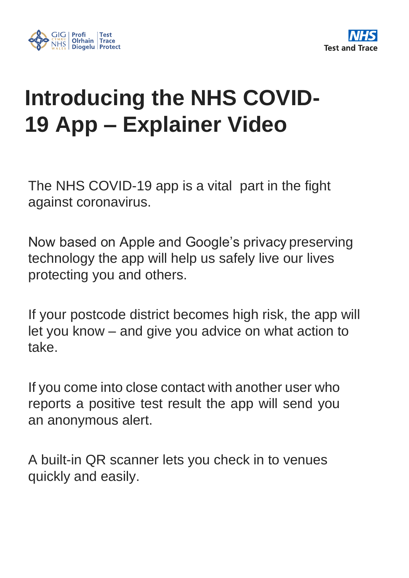



## **Introducing the NHS COVID-19 App – Explainer Video**

The NHS COVID-19 app is a vital part in the fight against coronavirus.

Now based on Apple and Google's privacy preserving technology the app will help us safely live our lives protecting you and others.

If your postcode district becomes high risk, the app will let you know – and give you advice on what action to take.

If you come into close contact with another user who reports a positive test result the app will send you an anonymous alert.

A built-in QR scanner lets you check in to venues quickly and easily.